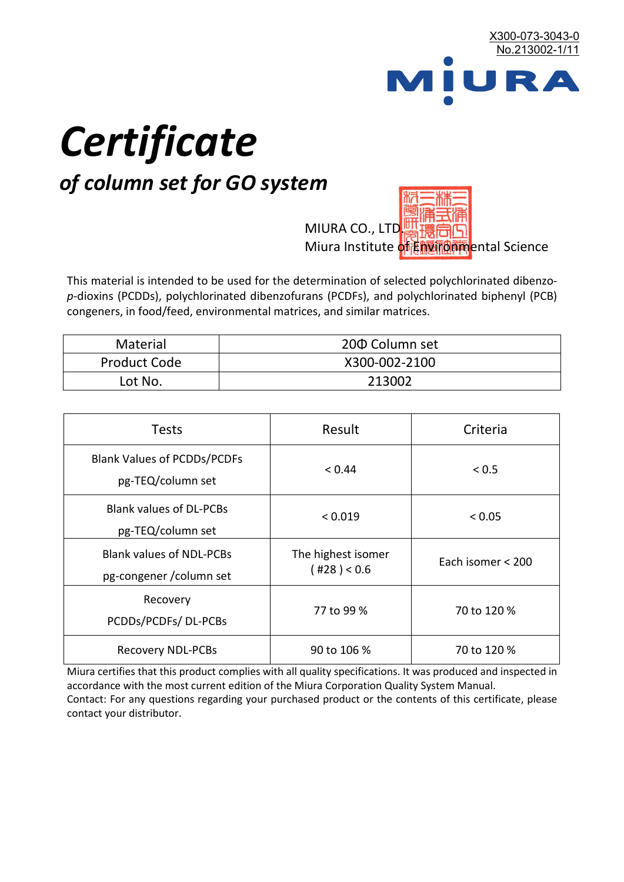

# *Certificate*

## *of column set for GO system*

MIURA CO., LTD. Miura Institute of 正版而解ental Science

This material is intended to be used for the determination of selected polychlorinated dibenzo*p*-dioxins (PCDDs), polychlorinated dibenzofurans (PCDFs), and polychlorinated biphenyl (PCB) congeners, in food/feed, environmental matrices, and similar matrices.

| <b>Material</b>     | 200 Column set |  |
|---------------------|----------------|--|
| <b>Product Code</b> | X300-002-2100  |  |
| Lot No.             | 213002         |  |

| <b>Tests</b>                                                | Result                            | Criteria          |
|-------------------------------------------------------------|-----------------------------------|-------------------|
| <b>Blank Values of PCDDs/PCDFs</b><br>pg-TEQ/column set     | < 0.44                            | < 0.5             |
| <b>Blank values of DL-PCBs</b><br>pg-TEQ/column set         | < 0.019                           | < 0.05            |
| <b>Blank values of NDL-PCBs</b><br>pg-congener / column set | The highest isomer<br>(428) < 0.6 | Each isomer < 200 |
| Recovery<br>PCDDs/PCDFs/DL-PCBs                             | 77 to 99 %                        | 70 to 120 %       |
| <b>Recovery NDL-PCBs</b>                                    | 90 to 106 %                       | 70 to 120 %       |

Miura certifies that this product complies with all quality specifications. It was produced and inspected in accordance with the most current edition of the Miura Corporation Quality System Manual. Contact: For any questions regarding your purchased product or the contents of this certificate, please contact your distributor.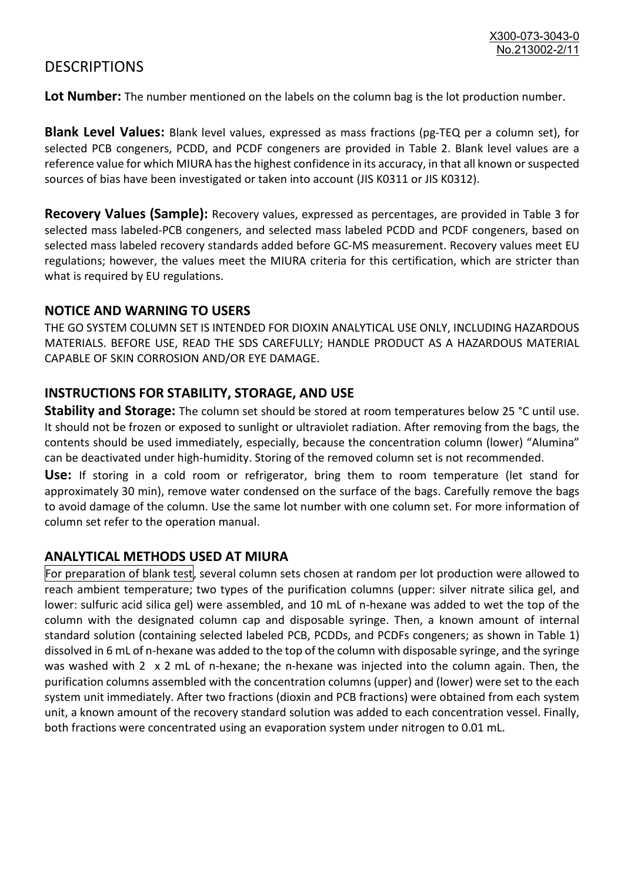### **DESCRIPTIONS**

**Lot Number:** The number mentioned on the labels on the column bag is the lot production number.

**Blank Level Values:** Blank level values, expressed as mass fractions (pg-TEQ per a column set), for selected PCB congeners, PCDD, and PCDF congeners are provided in Table 2. Blank level values are a reference value for which MIURA has the highest confidence in its accuracy, in that all known or suspected sources of bias have been investigated or taken into account (JIS K0311 or JIS K0312).

**Recovery Values (Sample):** Recovery values, expressed as percentages, are provided in Table 3 for selected mass labeled-PCB congeners, and selected mass labeled PCDD and PCDF congeners, based on selected mass labeled recovery standards added before GC-MS measurement. Recovery values meet EU regulations; however, the values meet the MIURA criteria for this certification, which are stricter than what is required by EU regulations.

#### **NOTICE AND WARNING TO USERS**

THE GO SYSTEM COLUMN SET IS INTENDED FOR DIOXIN ANALYTICAL USE ONLY, INCLUDING HAZARDOUS MATERIALS. BEFORE USE, READ THE SDS CAREFULLY; HANDLE PRODUCT AS A HAZARDOUS MATERIAL CAPABLE OF SKIN CORROSION AND/OR EYE DAMAGE.

#### **INSTRUCTIONS FOR STABILITY, STORAGE, AND USE**

**Stability and Storage:** The column set should be stored at room temperatures below 25 °C until use. It should not be frozen or exposed to sunlight or ultraviolet radiation. After removing from the bags, the contents should be used immediately, especially, because the concentration column (lower) "Alumina" can be deactivated under high-humidity. Storing of the removed column set is not recommended.

**Use:** If storing in a cold room or refrigerator, bring them to room temperature (let stand for approximately 30 min), remove water condensed on the surface of the bags. Carefully remove the bags to avoid damage of the column. Use the same lot number with one column set. For more information of column set refer to the operation manual.

#### **ANALYTICAL METHODS USED AT MIURA**

For preparation of blank test, several column sets chosen at random per lot production were allowed to reach ambient temperature; two types of the purification columns (upper: silver nitrate silica gel, and lower: sulfuric acid silica gel) were assembled, and 10 mL of n-hexane was added to wet the top of the column with the designated column cap and disposable syringe. Then, a known amount of internal standard solution (containing selected labeled PCB, PCDDs, and PCDFs congeners; as shown in Table 1) dissolved in 6 mL of n-hexane was added to the top of the column with disposable syringe, and the syringe was washed with 2 x 2 mL of n-hexane; the n-hexane was injected into the column again. Then, the purification columns assembled with the concentration columns (upper) and (lower) were set to the each system unit immediately. After two fractions (dioxin and PCB fractions) were obtained from each system unit, a known amount of the recovery standard solution was added to each concentration vessel. Finally, both fractions were concentrated using an evaporation system under nitrogen to 0.01 mL.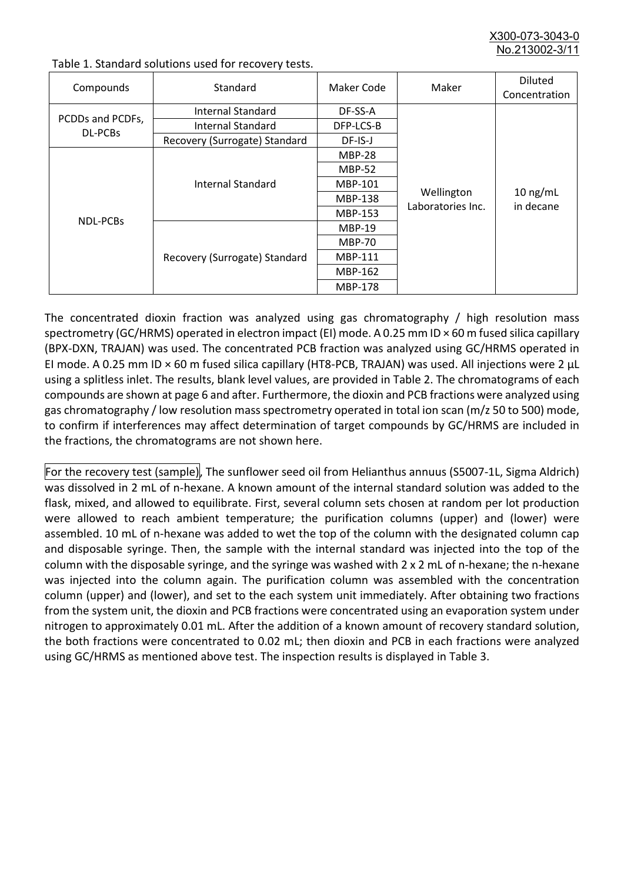X300-073-3043-0 No.213002-3/

| Compounds                   | Standard                      | Maker Code     | Maker                           | <b>Diluted</b><br>Concentration |
|-----------------------------|-------------------------------|----------------|---------------------------------|---------------------------------|
| PCDDs and PCDFs,<br>DL-PCBs | Internal Standard             | DF-SS-A        |                                 | $10$ ng/mL<br>in decane         |
|                             | <b>Internal Standard</b>      | DFP-LCS-B      |                                 |                                 |
|                             | Recovery (Surrogate) Standard | DF-IS-J        | Wellington<br>Laboratories Inc. |                                 |
| <b>NDL-PCBs</b>             | Internal Standard             | <b>MBP-28</b>  |                                 |                                 |
|                             |                               | <b>MBP-52</b>  |                                 |                                 |
|                             |                               | MBP-101        |                                 |                                 |
|                             |                               | <b>MBP-138</b> |                                 |                                 |
|                             |                               | MBP-153        |                                 |                                 |
|                             | Recovery (Surrogate) Standard | <b>MBP-19</b>  |                                 |                                 |
|                             |                               | <b>MBP-70</b>  |                                 |                                 |
|                             |                               | MBP-111        |                                 |                                 |
|                             |                               | MBP-162        |                                 |                                 |
|                             |                               | <b>MBP-178</b> |                                 |                                 |

Table 1. Standard solutions used for recovery tests.

The concentrated dioxin fraction was analyzed using gas chromatography / high resolution mass spectrometry (GC/HRMS) operated in electron impact (EI) mode. A 0.25 mm ID × 60 m fused silica capillary (BPX-DXN, TRAJAN) was used. The concentrated PCB fraction was analyzed using GC/HRMS operated in EI mode. A 0.25 mm ID × 60 m fused silica capillary (HT8-PCB, TRAJAN) was used. All injections were 2 μL using a splitless inlet. The results, blank level values, are provided in Table 2. The chromatograms of each compounds are shown at page 6 and after. Furthermore, the dioxin and PCB fractions were analyzed using gas chromatography / low resolution mass spectrometry operated in total ion scan (m/z 50 to 500) mode, to confirm if interferences may affect determination of target compounds by GC/HRMS are included in the fractions, the chromatograms are not shown here.

For the recovery test (sample), The sunflower seed oil from Helianthus annuus (S5007-1L, Sigma Aldrich) was dissolved in 2 mL of n-hexane. A known amount of the internal standard solution was added to the flask, mixed, and allowed to equilibrate. First, several column sets chosen at random per lot production were allowed to reach ambient temperature; the purification columns (upper) and (lower) were assembled. 10 mL of n-hexane was added to wet the top of the column with the designated column cap and disposable syringe. Then, the sample with the internal standard was injected into the top of the column with the disposable syringe, and the syringe was washed with 2 x 2 mL of n-hexane; the n-hexane was injected into the column again. The purification column was assembled with the concentration column (upper) and (lower), and set to the each system unit immediately. After obtaining two fractions from the system unit, the dioxin and PCB fractions were concentrated using an evaporation system under nitrogen to approximately 0.01 mL. After the addition of a known amount of recovery standard solution, the both fractions were concentrated to 0.02 mL; then dioxin and PCB in each fractions were analyzed using GC/HRMS as mentioned above test. The inspection results is displayed in Table 3.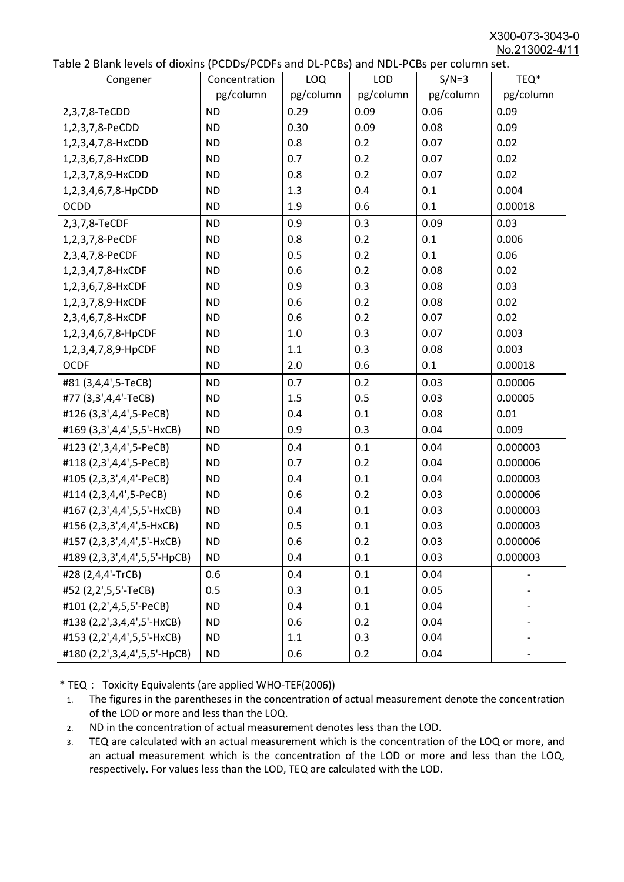X300-073-3043-0 No.213002-4/11

|  |  | Table 2 Blank levels of dioxins (PCDDs/PCDFs and DL-PCBs) and NDL-PCBs per column set. |
|--|--|----------------------------------------------------------------------------------------|
|--|--|----------------------------------------------------------------------------------------|

| able 2 Dialik levels of dioxilis (PCDDs/PCDI's and DL-PCDs) and NDL-PCDs per coldinii set.<br>Congener | Concentration | <b>LOQ</b> | <b>LOD</b> | $S/N=3$   | TEQ*      |
|--------------------------------------------------------------------------------------------------------|---------------|------------|------------|-----------|-----------|
|                                                                                                        | pg/column     | pg/column  | pg/column  | pg/column | pg/column |
| 2,3,7,8-TeCDD                                                                                          | <b>ND</b>     | 0.29       | 0.09       | 0.06      | 0.09      |
| 1,2,3,7,8-PeCDD                                                                                        | <b>ND</b>     | 0.30       | 0.09       | 0.08      | 0.09      |
| 1,2,3,4,7,8-HxCDD                                                                                      | <b>ND</b>     | 0.8        | 0.2        | 0.07      | 0.02      |
| 1,2,3,6,7,8-HxCDD                                                                                      | <b>ND</b>     | 0.7        | 0.2        | 0.07      | 0.02      |
| 1,2,3,7,8,9-HxCDD                                                                                      | <b>ND</b>     | 0.8        | 0.2        | 0.07      | 0.02      |
| 1,2,3,4,6,7,8-HpCDD                                                                                    | <b>ND</b>     | 1.3        | 0.4        | 0.1       | 0.004     |
| <b>OCDD</b>                                                                                            | <b>ND</b>     | 1.9        | 0.6        | 0.1       | 0.00018   |
|                                                                                                        | <b>ND</b>     | 0.9        | 0.3        | 0.09      | 0.03      |
| 2,3,7,8-TeCDF                                                                                          | <b>ND</b>     | 0.8        | 0.2        | 0.1       | 0.006     |
| 1,2,3,7,8-PeCDF                                                                                        | <b>ND</b>     | 0.5        | 0.2        | 0.1       | 0.06      |
| 2,3,4,7,8-PeCDF                                                                                        |               | 0.6        | 0.2        | 0.08      | 0.02      |
| 1,2,3,4,7,8-HxCDF                                                                                      | <b>ND</b>     |            |            |           |           |
| 1,2,3,6,7,8-HxCDF                                                                                      | <b>ND</b>     | 0.9        | 0.3        | 0.08      | 0.03      |
| 1,2,3,7,8,9-HxCDF                                                                                      | <b>ND</b>     | 0.6        | 0.2        | 0.08      | 0.02      |
| 2,3,4,6,7,8-HxCDF                                                                                      | <b>ND</b>     | 0.6        | 0.2        | 0.07      | 0.02      |
| 1,2,3,4,6,7,8-HpCDF                                                                                    | <b>ND</b>     | 1.0        | 0.3        | 0.07      | 0.003     |
| 1,2,3,4,7,8,9-HpCDF                                                                                    | <b>ND</b>     | 1.1        | 0.3        | 0.08      | 0.003     |
| <b>OCDF</b>                                                                                            | <b>ND</b>     | 2.0        | 0.6        | 0.1       | 0.00018   |
| #81 (3,4,4',5-TeCB)                                                                                    | <b>ND</b>     | 0.7        | 0.2        | 0.03      | 0.00006   |
| #77 (3,3',4,4'-TeCB)                                                                                   | <b>ND</b>     | 1.5        | 0.5        | 0.03      | 0.00005   |
| #126 (3,3',4,4',5-PeCB)                                                                                | <b>ND</b>     | 0.4        | 0.1        | 0.08      | 0.01      |
| #169 (3,3',4,4',5,5'-HxCB)                                                                             | <b>ND</b>     | 0.9        | 0.3        | 0.04      | 0.009     |
| #123 (2',3,4,4',5-PeCB)                                                                                | <b>ND</b>     | 0.4        | 0.1        | 0.04      | 0.000003  |
| #118 (2,3',4,4',5-PeCB)                                                                                | <b>ND</b>     | 0.7        | 0.2        | 0.04      | 0.000006  |
| #105 (2,3,3',4,4'-PeCB)                                                                                | <b>ND</b>     | 0.4        | 0.1        | 0.04      | 0.000003  |
| #114 (2,3,4,4',5-PeCB)                                                                                 | <b>ND</b>     | 0.6        | 0.2        | 0.03      | 0.000006  |
| #167 (2,3',4,4',5,5'-HxCB)                                                                             | <b>ND</b>     | 0.4        | 0.1        | 0.03      | 0.000003  |
| #156 (2,3,3',4,4',5-HxCB)                                                                              | <b>ND</b>     | 0.5        | 0.1        | 0.03      | 0.000003  |
| #157 (2,3,3',4,4',5'-HxCB)                                                                             | <b>ND</b>     | 0.6        | 0.2        | 0.03      | 0.000006  |
| #189 (2,3,3',4,4',5,5'-HpCB)                                                                           | <b>ND</b>     | 0.4        | 0.1        | 0.03      | 0.000003  |
| #28 (2,4,4'-TrCB)                                                                                      | 0.6           | 0.4        | 0.1        | 0.04      |           |
| #52 (2,2',5,5'-TeCB)                                                                                   | 0.5           | 0.3        | 0.1        | 0.05      |           |
| #101 (2,2',4,5,5'-PeCB)                                                                                | <b>ND</b>     | 0.4        | 0.1        | 0.04      |           |
| #138 (2,2',3,4,4',5'-HxCB)                                                                             | <b>ND</b>     | 0.6        | 0.2        | 0.04      |           |
| #153 (2,2',4,4',5,5'-HxCB)                                                                             | <b>ND</b>     | 1.1        | 0.3        | 0.04      |           |
| #180 (2,2',3,4,4',5,5'-HpCB)                                                                           | <b>ND</b>     | 0.6        | 0.2        | 0.04      |           |

\* TEQ: Toxicity Equivalents (are applied WHO-TEF(2006))

- 1. The figures in the parentheses in the concentration of actual measurement denote the concentration of the LOD or more and less than the LOQ.
- 2. ND in the concentration of actual measurement denotes less than the LOD.
- 3. TEQ are calculated with an actual measurement which is the concentration of the LOQ or more, and an actual measurement which is the concentration of the LOD or more and less than the LOQ, respectively. For values less than the LOD, TEQ are calculated with the LOD.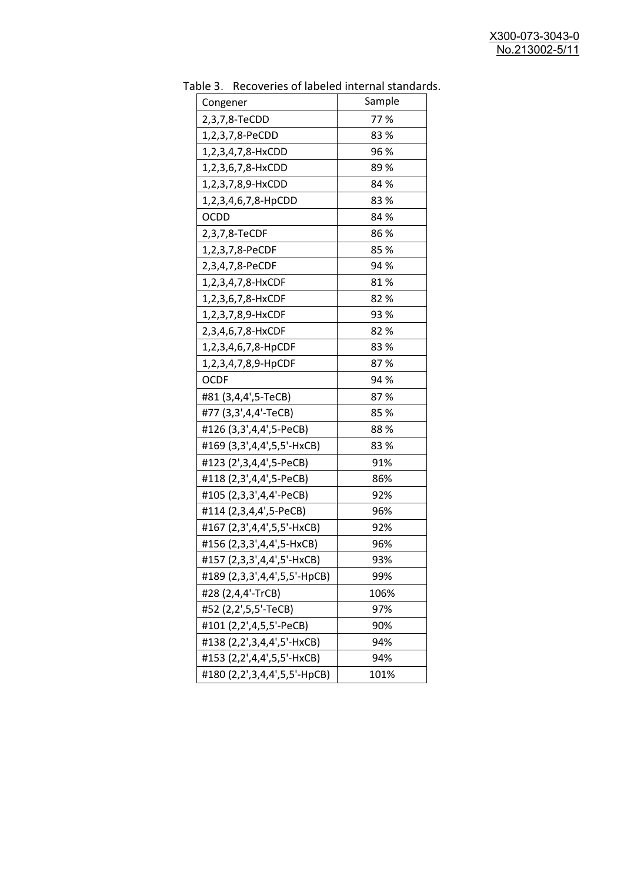| Congener                     | Sample |
|------------------------------|--------|
| 2,3,7,8-TeCDD                | 77%    |
| 1,2,3,7,8-PeCDD              | 83%    |
| 1,2,3,4,7,8-HxCDD            | 96 %   |
| 1,2,3,6,7,8-HxCDD            | 89%    |
| 1,2,3,7,8,9-HxCDD            | 84 %   |
| 1,2,3,4,6,7,8-HpCDD          | 83%    |
| <b>OCDD</b>                  | 84 %   |
| 2,3,7,8-TeCDF                | 86%    |
| 1,2,3,7,8-PeCDF              | 85%    |
| 2,3,4,7,8-PeCDF              | 94 %   |
| 1,2,3,4,7,8-HxCDF            | 81%    |
| 1,2,3,6,7,8-HxCDF            | 82%    |
| 1,2,3,7,8,9-HxCDF            | 93 %   |
| 2,3,4,6,7,8-HxCDF            | 82%    |
| 1,2,3,4,6,7,8-HpCDF          | 83%    |
| 1,2,3,4,7,8,9-HpCDF          | 87%    |
| <b>OCDF</b>                  | 94 %   |
| #81 (3,4,4',5-TeCB)          | 87%    |
| #77 (3,3',4,4'-TeCB)         | 85%    |
| #126 (3,3',4,4',5-PeCB)      | 88%    |
| #169 (3,3',4,4',5,5'-HxCB)   | 83%    |
| #123 (2',3,4,4',5-PeCB)      | 91%    |
| #118 (2,3',4,4',5-PeCB)      | 86%    |
| #105 (2,3,3',4,4'-PeCB)      | 92%    |
| #114 (2,3,4,4',5-PeCB)       | 96%    |
| #167 (2,3',4,4',5,5'-HxCB)   | 92%    |
| #156 (2,3,3',4,4',5-HxCB)    | 96%    |
| #157 (2,3,3',4,4',5'-HxCB)   | 93%    |
| #189 (2,3,3',4,4',5,5'-HpCB) | 99%    |
| #28 (2,4,4'-TrCB)            | 106%   |
| #52 (2,2',5,5'-TeCB)         | 97%    |
| #101 (2,2',4,5,5'-PeCB)      | 90%    |
| #138 (2,2',3,4,4',5'-HxCB)   | 94%    |
| #153 (2,2',4,4',5,5'-HxCB)   | 94%    |
| #180 (2,2',3,4,4',5,5'-HpCB) | 101%   |

Table 3. Recoveries of labeled internal standards.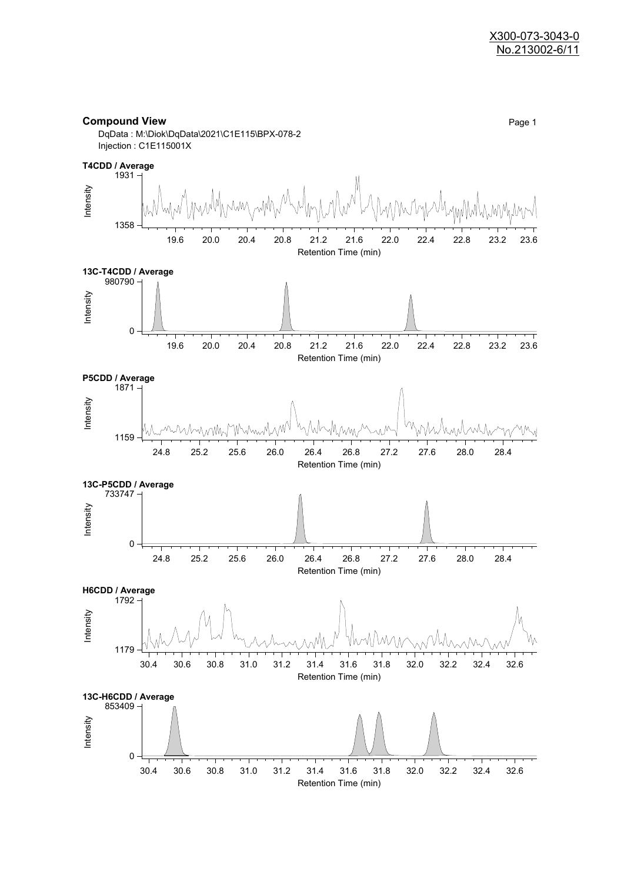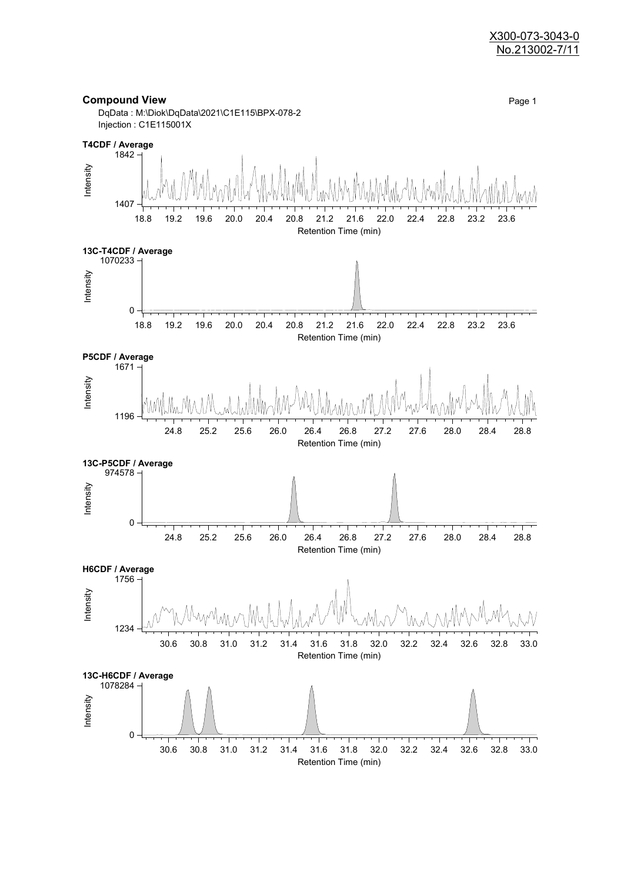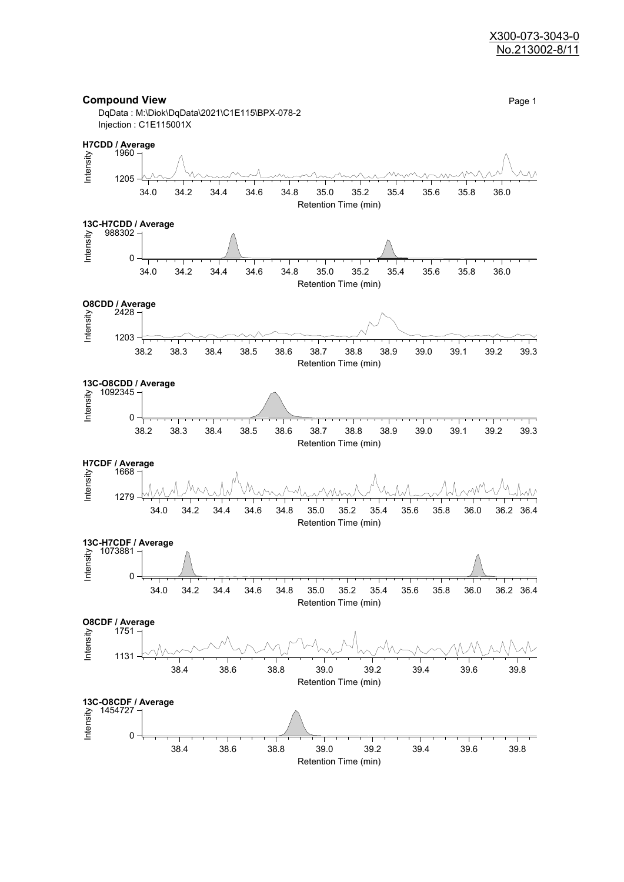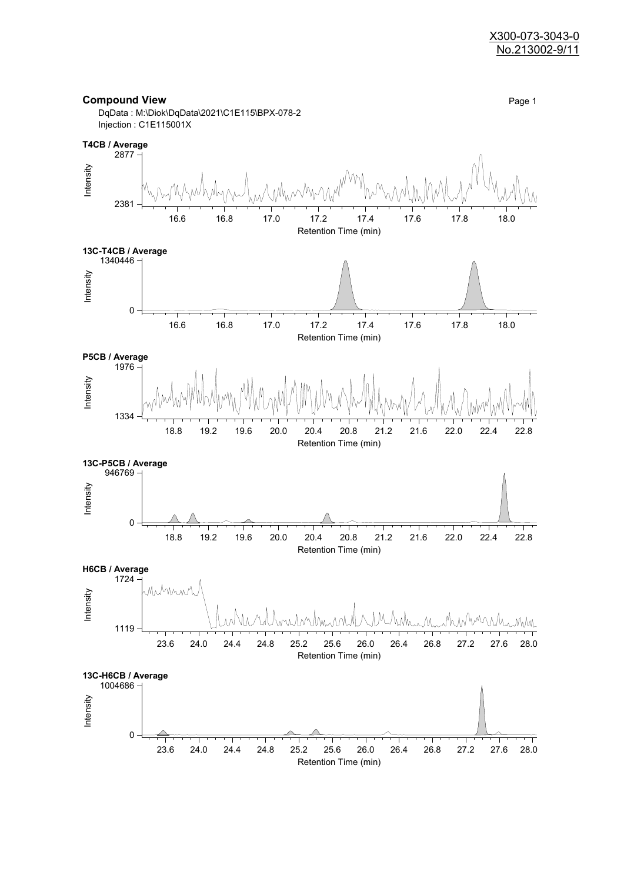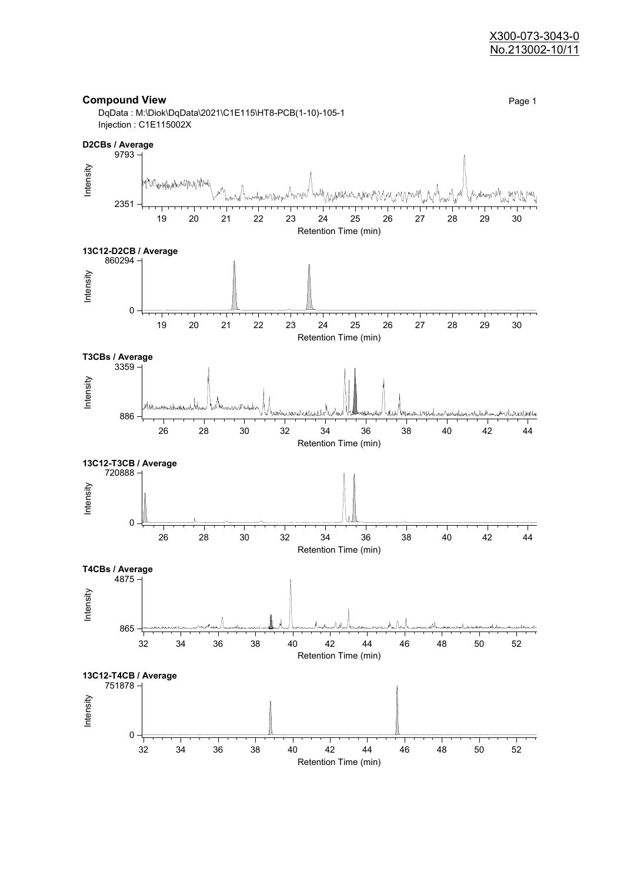